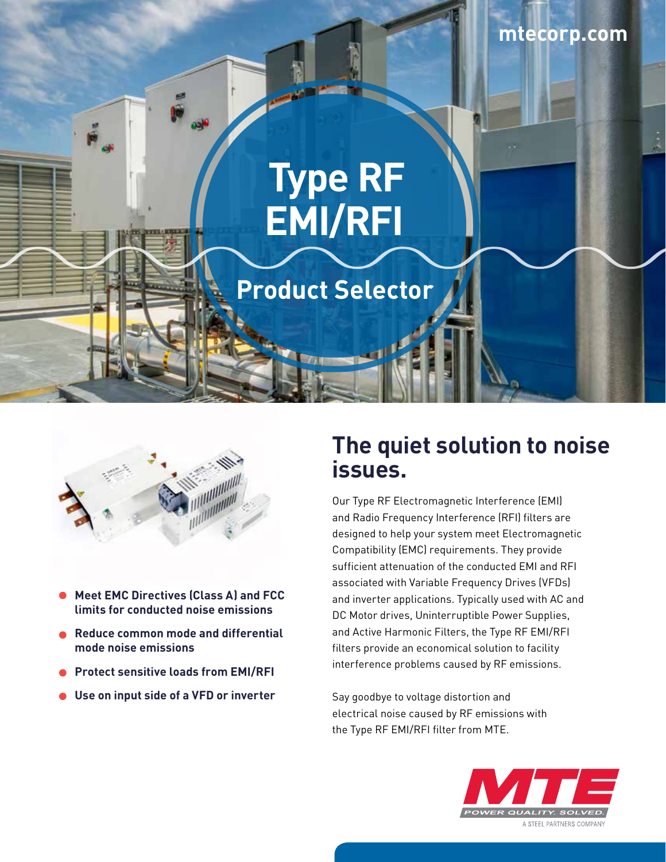# **Type RF EMI/RFI**

# **Product Selector**



- **Meet EMC Directives (Class A) and FCC limits for conducted noise emissions**
- **Reduce common mode and differential mode noise emissions**
- **Protect sensitive loads from EMI/RFI**
- **Use on input side of a VFD or inverter**

## **The quiet solution to noise issues.**

Our Type RF Electromagnetic Interference (EMI) and Radio Frequency Interference (RFI) filters are designed to help your system meet Electromagnetic Compatibility (EMC) requirements. They provide sufficient attenuation of the conducted EMI and RFI associated with Variable Frequency Drives (VFDs) and inverter applications. Typically used with AC and DC Motor drives, Uninterruptible Power Supplies, and Active Harmonic Filters, the Type RF EMI/RFI filters provide an economical solution to facility interference problems caused by RF emissions.

Say goodbye to voltage distortion and electrical noise caused by RF emissions with the Type RF EMI/RFI filter from MTE.

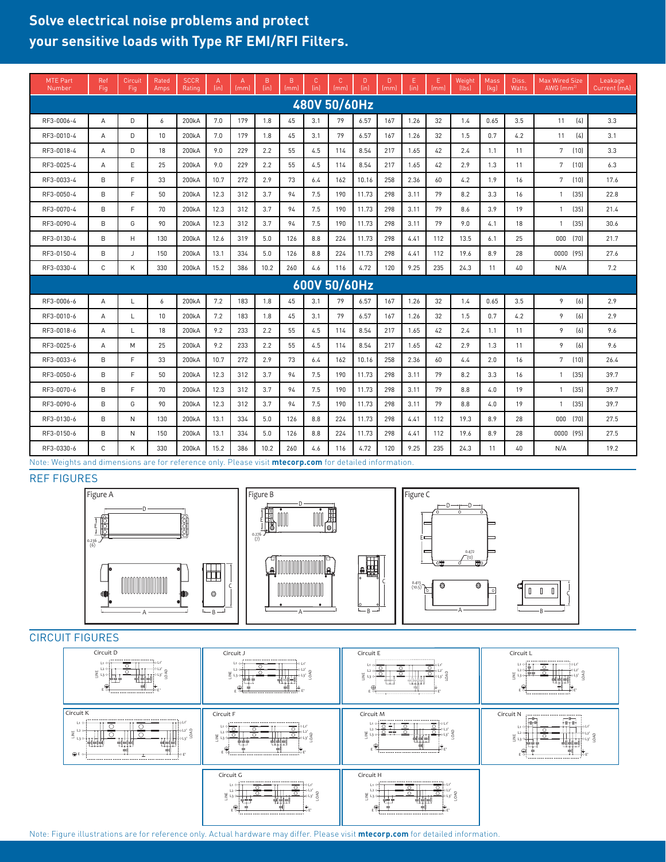### **Solve electrical noise problems and protect your sensitive loads with Type RF EMI/RFI Filters.**

| <b>MTE Part</b><br>Number | Ref<br>Fig   | Circuit<br>Fig | Rated<br>Amps | <b>SCCR</b><br>Rating | A<br>(in) | A<br>(mm) | B<br>(in) | B<br>(mm) | C.<br>$\{in\}$ | C<br>(mml | D.<br>(in) | D.<br>(mml | Ε<br>(in) | Ε<br>(mm) | Weight<br>[lbs] | Mass<br>[kq] | Diss.<br><b>Watts</b> | <b>Max Wired Size</b><br>AWG $\rm (mm^{2)}$ | Leakage<br>Current (mA) |
|---------------------------|--------------|----------------|---------------|-----------------------|-----------|-----------|-----------|-----------|----------------|-----------|------------|------------|-----------|-----------|-----------------|--------------|-----------------------|---------------------------------------------|-------------------------|
| 480V 50/60Hz              |              |                |               |                       |           |           |           |           |                |           |            |            |           |           |                 |              |                       |                                             |                         |
| RF3-0006-4                | A            | D              | 6             | 200kA                 | 7.0       | 179       | 1.8       | 45        | 3.1            | 79        | 6.57       | 167        | 1.26      | 32        | 1.4             | 0.65         | 3.5                   | 11<br>(4)                                   | 3.3                     |
| RF3-0010-4                | А            | D.             | 10            | 200kA                 | 7.0       | 179       | 1.8       | 45        | 3.1            | 79        | 6.57       | 167        | 1.26      | 32        | 1.5             | 0.7          | 4.2                   | (4)<br>11                                   | 3.1                     |
| RF3-0018-4                | A            | D              | 18            | 200 <sub>k</sub> A    | 9.0       | 229       | 2.2       | 55        | 4.5            | 114       | 8.54       | 217        | 1.65      | 42        | 2.4             | 1.1          | 11                    | $7\overline{ }$<br>(10)                     | 3.3                     |
| RF3-0025-4                | A            | E              | 25            | 200kA                 | 9.0       | 229       | 2.2       | 55        | 4.5            | 114       | 8.54       | 217        | 1.65      | 42        | 2.9             | 1.3          | 11                    | 7<br>(10)                                   | 6.3                     |
| RF3-0033-4                | B            | E              | 33            | 200kA                 | 10.7      | 272       | 2.9       | 73        | 6.4            | 162       | 10.16      | 258        | 2.36      | 60        | 4.2             | 1.9          | 16                    | $7\phantom{.0}$<br>(10)                     | 17.6                    |
| RF3-0050-4                | B            | F.             | 50            | 200kA                 | 12.3      | 312       | 3.7       | 94        | 7.5            | 190       | 11.73      | 298        | 3.11      | 79        | 8.2             | 3.3          | 16                    | (35)<br>$\mathbf{1}$                        | 22.8                    |
| RF3-0070-4                | B            | F.             | 70            | 200 <sub>k</sub> A    | 12.3      | 312       | 3.7       | 94        | 7.5            | 190       | 11.73      | 298        | 3.11      | 79        | 8.6             | 3.9          | 19                    | (35)<br>$\mathbf{1}$                        | 21.4                    |
| RF3-0090-4                | B            | G              | 90            | 200kA                 | 12.3      | 312       | 3.7       | 94        | 7.5            | 190       | 11.73      | 298        | 3.11      | 79        | 9.0             | 4.1          | 18                    | (35)<br>$\overline{1}$                      | 30.6                    |
| RF3-0130-4                | B            | H              | 130           | 200kA                 | 12.6      | 319       | 5.0       | 126       | 8.8            | 224       | 11.73      | 298        | 4.41      | 112       | 13.5            | 6.1          | 25                    | (70)<br>000                                 | 21.7                    |
| RF3-0150-4                | B            | J              | 150           | 200 <sub>k</sub> A    | 13.1      | 334       | 5.0       | 126       | 8.8            | 224       | 11.73      | 298        | 4.41      | 112       | 19.6            | 8.9          | 28                    | 0000 (95)                                   | 27.6                    |
| RF3-0330-4                | $\mathsf{C}$ | K              | 330           | 200kA                 | 15.2      | 386       | 10.2      | 260       | 4.6            | 116       | 4.72       | 120        | 9.25      | 235       | 24.3            | 11           | 40                    | N/A                                         | 7.2                     |
| 600V 50/60Hz              |              |                |               |                       |           |           |           |           |                |           |            |            |           |           |                 |              |                       |                                             |                         |
| RF3-0006-6                | A            | L              | 6             | 200 <sub>k</sub> A    | 7.2       | 183       | 1.8       | 45        | 3.1            | 79        | 6.57       | 167        | 1.26      | 32        | 1.4             | 0.65         | 3.5                   | [6]<br>9                                    | 2.9                     |
| RF3-0010-6                | A            | L              | 10            | 200kA                 | 7.2       | 183       | 1.8       | 45        | 3.1            | 79        | 6.57       | 167        | 1.26      | 32        | 1.5             | 0.7          | 4.2                   | 9<br>(6)                                    | 2.9                     |
| RF3-0018-6                | А            | L              | 18            | 200kA                 | 9.2       | 233       | 2.2       | 55        | 4.5            | 114       | 8.54       | 217        | 1.65      | 42        | 2.4             | 1.1          | 11                    | $\overline{9}$<br>(6)                       | 9.6                     |
| RF3-0025-6                | A            | M              | 25            | 200 <sub>k</sub> A    | 9.2       | 233       | 2.2       | 55        | 4.5            | 114       | 8.54       | 217        | 1.65      | 42        | 2.9             | 1.3          | 11                    | 9<br>[6]                                    | 9.6                     |
| RF3-0033-6                | B            | F.             | 33            | 200kA                 | 10.7      | 272       | 2.9       | 73        | 6.4            | 162       | 10.16      | 258        | 2.36      | 60        | 4.4             | 2.0          | 16                    | $7\phantom{.0}$<br>(10)                     | 26.4                    |
| RF3-0050-6                | B            | F.             | 50            | 200kA                 | 12.3      | 312       | 3.7       | 94        | 7.5            | 190       | 11.73      | 298        | 3.11      | 79        | 8.2             | 3.3          | 16                    | (35)<br>$\mathbf{1}$                        | 39.7                    |
| RF3-0070-6                | B            | E              | 70            | 200kA                 | 12.3      | 312       | 3.7       | 94        | 7.5            | 190       | 11.73      | 298        | 3.11      | 79        | 8.8             | 4.0          | 19                    | (35)<br>$\mathbf{1}$                        | 39.7                    |
| RF3-0090-6                | B            | G              | 90            | 200 <sub>k</sub> A    | 12.3      | 312       | 3.7       | 94        | 7.5            | 190       | 11.73      | 298        | 3.11      | 79        | 8.8             | 4.0          | 19                    | (35)<br>$\mathbf{1}$                        | 39.7                    |
| RF3-0130-6                | B            | N              | 130           | 200kA                 | 13.1      | 334       | 5.0       | 126       | 8.8            | 224       | 11.73      | 298        | 4.41      | 112       | 19.3            | 8.9          | 28                    | (70)<br>000                                 | 27.5                    |
| RF3-0150-6                | B            | N              | 150           | 200kA                 | 13.1      | 334       | 5.0       | 126       | 8.8            | 224       | 11.73      | 298        | 4.41      | 112       | 19.6            | 8.9          | 28                    | 0000 (95)                                   | 27.5                    |
| RF3-0330-6                | C            | K              | 330           | 200 <sub>k</sub> A    | 15.2      | 386       | 10.2      | 260       | 4.6            | 116       | 4.72       | 120        | 9.25      | 235       | 24.3            | 11           | 40                    | N/A                                         | 19.2                    |

 $FS$ Note: Weights and dimensions are for reference only. Please visit **mtecorp.com** for detailed information.

#### REF FIGURES



#### CIRCUIT FIGURES



Note: Figure illustrations are for reference only. Actual hardware may differ. Please visit **mtecorp.com** for detailed information.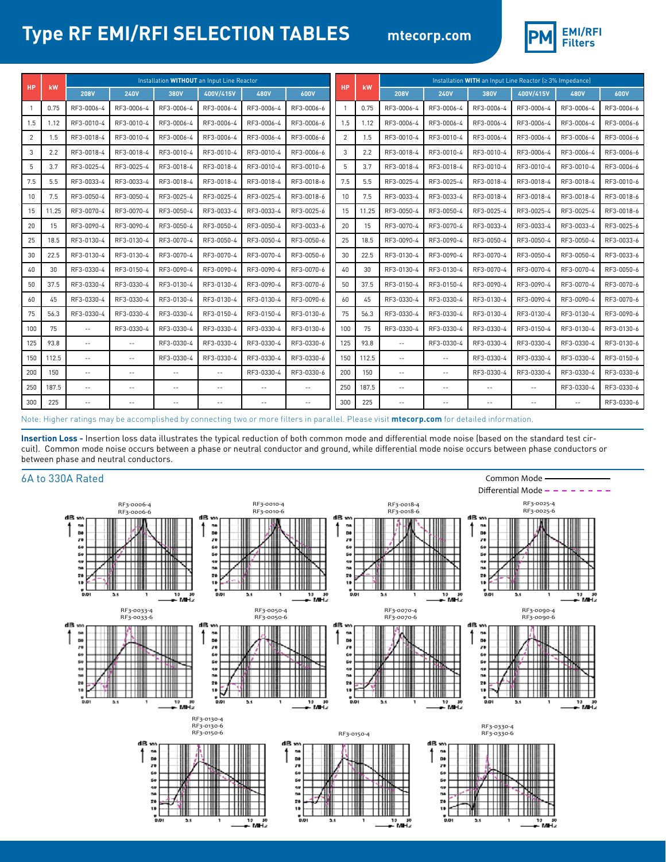# **Type RF EMI/RFI SELECTION TABLES**



Common Mode

| <b>HP</b>       |       | Installation WITHOUT an Input Line Reactor |                          |                            |                |               |             |                 |       | Installation WITH an Input Line Reactor (≥ 3% Impedance) |               |                |               |                |             |  |
|-----------------|-------|--------------------------------------------|--------------------------|----------------------------|----------------|---------------|-------------|-----------------|-------|----------------------------------------------------------|---------------|----------------|---------------|----------------|-------------|--|
|                 | kW    | <b>208V</b>                                | <b>240V</b>              | 380V                       | 400V/415V      | <b>480V</b>   | <b>600V</b> | <b>HP</b>       | kW    | <b>208V</b>                                              | <b>240V</b>   | 380V           | 400V/415V     | <b>480V</b>    | <b>600V</b> |  |
|                 | 0.75  | RF3-0006-4                                 | RF3-0006-4               | RF3-0006-4                 | RF3-0006-4     | RF3-0006-4    | RF3-0006-6  |                 | 0.75  | RF3-0006-4                                               | RF3-0006-4    | RF3-0006-4     | RF3-0006-4    | RF3-0006-4     | RF3-0006-6  |  |
| 1.5             | 1.12  | RF3-0010-4                                 | RF3-0010-4               | RF3-0006-4                 | RF3-0006-4     | RF3-0006-4    | RF3-0006-6  | 1.5             | 1.12  | RF3-0006-4                                               | RF3-0006-4    | RF3-0006-4     | RF3-0006-4    | RF3-0006-4     | RF3-0006-6  |  |
| 2               | 1.5   | RF3-0018-4                                 | RF3-0010-4               | RF3-0006-4                 | RF3-0006-4     | RF3-0006-4    | RF3-0006-6  | $\overline{2}$  | 1.5   | RF3-0010-4                                               | RF3-0010-4    | RF3-0006-4     | RF3-0006-4    | RF3-0006-4     | RF3-0006-6  |  |
| 3               | 2.2   | RF3-0018-4                                 | RF3-0018-4               | RF3-0010-4                 | RF3-0010-4     | RF3-0010-4    | RF3-0006-6  | 3               | 2.2   | RF3-0018-4                                               | RF3-0010-4    | RF3-0010-4     | RF3-0006-4    | RF3-0006-4     | RF3-0006-6  |  |
| 5               | 3.7   | RF3-0025-4                                 | RF3-0025-4               | RF3-0018-4                 | RF3-0018-4     | RF3-0010-4    | RF3-0010-6  | 5               | 3.7   | RF3-0018-4                                               | RF3-0018-4    | RF3-0010-4     | RF3-0010-4    | RF3-0010-4     | RF3-0006-6  |  |
| 7.5             | 5.5   | RF3-0033-4                                 | RF3-0033-4               | RF3-0018-4                 | RF3-0018-4     | RF3-0018-4    | RF3-0018-6  | 7.5             | 5.5   | RF3-0025-4                                               | RF3-0025-4    | RF3-0018-4     | RF3-0018-4    | RF3-0018-4     | RF3-0010-6  |  |
| 10 <sup>1</sup> | 7.5   | RF3-0050-4                                 | RF3-0050-4               | RF3-0025-4                 | RF3-0025-4     | RF3-0025-4    | RF3-0018-6  | 10 <sup>1</sup> | 7.5   | RF3-0033-4                                               | RF3-0033-4    | RF3-0018-4     | RF3-0018-4    | RF3-0018-4     | RF3-0018-6  |  |
| 15              | 11.25 | RF3-0070-4                                 | RF3-0070-4               | RF3-0050-4                 | RF3-0033-4     | RF3-0033-4    | RF3-0025-6  | 15              | 11.25 | RF3-0050-4                                               | RF3-0050-4    | RF3-0025-4     | RF3-0025-4    | RF3-0025-4     | RF3-0018-6  |  |
| 20              | 15    | RF3-0090-4                                 | RF3-0090-4               | RF3-0050-4                 | RF3-0050-4     | RF3-0050-4    | RF3-0033-6  | 20              | 15    | RF3-0070-4                                               | RF3-0070-4    | RF3-0033-4     | RF3-0033-4    | RF3-0033-4     | RF3-0025-6  |  |
| 25              | 18.5  | RF3-0130-4                                 | RF3-0130-4               | RF3-0070-4                 | RF3-0050-4     | RF3-0050-4    | RF3-0050-6  | 25              | 18.5  | RF3-0090-4                                               | RF3-0090-4    | RF3-0050-4     | RF3-0050-4    | RF3-0050-4     | RF3-0033-6  |  |
| 30              | 22.5  | RF3-0130-4                                 | RF3-0130-4               | RF3-0070-4                 | RF3-0070-4     | RF3-0070-4    | RF3-0050-6  | 30              | 22.5  | RF3-0130-4                                               | RF3-0090-4    | RF3-0070-4     | RF3-0050-4    | RF3-0050-4     | RF3-0033-6  |  |
| 40              | 30    | RF3-0330-4                                 | RF3-0150-4               | RF3-0090-4                 | RF3-0090-4     | RF3-0090-4    | RF3-0070-6  | 40              | 30    | RF3-0130-4                                               | RF3-0130-4    | RF3-0070-4     | RF3-0070-4    | RF3-0070-4     | RF3-0050-6  |  |
| 50              | 37.5  | RF3-0330-4                                 | RF3-0330-4               | RF3-0130-4                 | RF3-0130-4     | RF3-0090-4    | RF3-0070-6  | 50              | 37.5  | RF3-0150-4                                               | RF3-0150-4    | RF3-0090-4     | RF3-0090-4    | RF3-0070-4     | RF3-0070-6  |  |
| 60              | 45    | RF3-0330-4                                 | RF3-0330-4               | RF3-0130-4                 | RF3-0130-4     | RF3-0130-4    | RF3-0090-6  | 60              | 45    | RF3-0330-4                                               | RF3-0330-4    | RF3-0130-4     | RF3-0090-4    | RF3-0090-4     | RF3-0070-6  |  |
| 75              | 56.3  | RF3-0330-4                                 | RF3-0330-4               | RF3-0330-4                 | RF3-0150-4     | RF3-0150-4    | RF3-0130-6  | 75              | 56.3  | RF3-0330-4                                               | RF3-0330-4    | RF3-0130-4     | RF3-0130-4    | RF3-0130-4     | RF3-0090-6  |  |
| 100             | 75    | $\sim$ $\sim$                              | RF3-0330-4               | RF3-0330-4                 | RF3-0330-4     | RF3-0330-4    | RF3-0130-6  | 100             | 75    | RF3-0330-4                                               | RF3-0330-4    | RF3-0330-4     | RF3-0150-4    | RF3-0130-4     | RF3-0130-6  |  |
| 125             | 93.8  | $\sim$ $\sim$                              | $\sim$ $\sim$            | RF3-0330-4                 | RF3-0330-4     | RF3-0330-4    | RF3-0330-6  | 125             | 93.8  | $\sim$ $\sim$                                            | RF3-0330-4    | RF3-0330-4     | RF3-0330-4    | RF3-0330-4     | RF3-0130-6  |  |
| 150             | 112.5 | $\overline{\phantom{m}}$                   | $\sim$ $\sim$            | RF3-0330-4                 | RF3-0330-4     | RF3-0330-4    | RF3-0330-6  | 150             | 112.5 | $\sim$ $\sim$                                            | $\sim$ $\sim$ | RF3-0330-4     | RF3-0330-4    | RF3-0330-4     | RF3-0150-6  |  |
| 200             | 150   | $\sim$ $\sim$                              | $\sim$ $\sim$            | $\sim$ $\sim$              | $\sim$ $\sim$  | RF3-0330-4    | RF3-0330-6  | 200             | 150   | $\sim$ $\sim$                                            | $\sim$ $\sim$ | RF3-0330-4     | RF3-0330-4    | RF3-0330-4     | RF3-0330-6  |  |
| 250             | 187.5 | $\sim$ $\sim$                              | $\overline{\phantom{a}}$ | $\overline{\phantom{a}}$ . | $\overline{a}$ | $\sim$ $\sim$ | $\sim$ $-$  | 250             | 187.5 | $-$                                                      | $\sim$ $\sim$ | $\overline{a}$ | $\sim$ $\sim$ | RF3-0330-4     | RF3-0330-6  |  |
| 300             | 225   | $\sim$ $\sim$                              | $\sim$ $-$               | $\frac{1}{2}$              | $-$            | $- -$         | $\sim$ $-$  | 300             | 225   | $\sim$ $\sim$                                            | $-$           | $-$            | $\sim$ $-$    | $\overline{a}$ | RF3-0330-6  |  |

Note: Higher ratings may be accomplished by connecting two or more filters in parallel. Please visit **mtecorp.com** for detailed information.

**Insertion Loss -** Insertion loss data illustrates the typical reduction of both common mode and differential mode noise (based on the standard test circuit). Common mode noise occurs between a phase or neutral conductor and ground, while differential mode noise occurs between phase conductors or between phase and neutral conductors.

#### 6A to 330A Rated